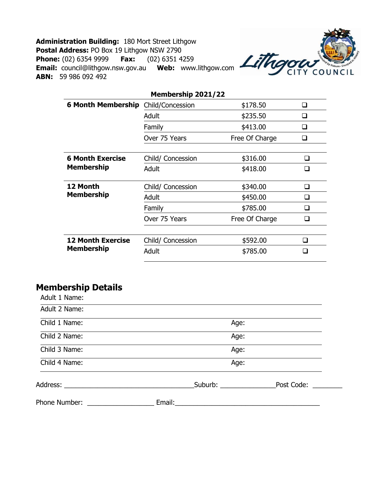**Administration Building:** 180 Mort Street Lithgow **Postal Address:** PO Box 19 Lithgow NSW 2790 **Phone:** (02) 6354 9999 **Fax:** (02) 6351 4259 **Email:** council@lithgow.nsw.gov.au **Web:** www.lithgow.com **ABN:** 59 986 092 492



| Membership 2021/22                           |                   |                |        |  |
|----------------------------------------------|-------------------|----------------|--------|--|
| <b>6 Month Membership</b>                    | Child/Concession  | \$178.50       | ⊔      |  |
|                                              | Adult             | \$235.50       | H      |  |
|                                              | Family            | \$413.00       | ⊓      |  |
|                                              | Over 75 Years     | Free Of Charge |        |  |
|                                              |                   |                |        |  |
| <b>6 Month Exercise</b><br><b>Membership</b> | Child/ Concession | \$316.00       | l 1    |  |
|                                              | Adult             | \$418.00       |        |  |
|                                              |                   |                |        |  |
| 12 Month<br><b>Membership</b>                | Child/ Concession | \$340.00       | ⊓      |  |
|                                              | Adult             | \$450.00       | ப      |  |
|                                              | Family            | \$785.00       | ப      |  |
|                                              | Over 75 Years     | Free Of Charge |        |  |
|                                              |                   |                |        |  |
| <b>12 Month Exercise</b>                     | Child/ Concession | \$592.00       | $\Box$ |  |
| <b>Membership</b>                            | Adult             | \$785.00       |        |  |
|                                              |                   |                |        |  |

## **Membership Details**

| Phone Number: ______________ |                     |            |
|------------------------------|---------------------|------------|
|                              | Suburb: ___________ | Post Code: |
| Child 4 Name:                | Age:                |            |
| Child 3 Name:                | Age:                |            |
| Child 2 Name:                | Age:                |            |
| Child 1 Name:                | Age:                |            |
| Adult 2 Name:                |                     |            |
| Adult 1 Name:                |                     |            |